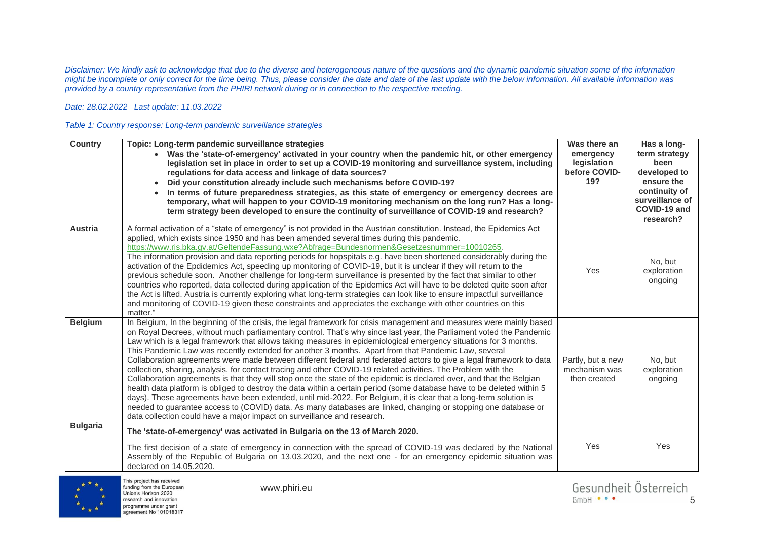*Disclaimer: We kindly ask to acknowledge that due to the diverse and heterogeneous nature of the questions and the dynamic pandemic situation some of the information might be incomplete or only correct for the time being. Thus, please consider the date and date of the last update with the below information. All available information was provided by a country representative from the PHIRI network during or in connection to the respective meeting.* 

## *Date: 28.02.2022 Last update: 11.03.2022*

## *Table 1: Country response: Long-term pandemic surveillance strategies*

| <b>Country</b>  | Topic: Long-term pandemic surveillance strategies<br>• Was the 'state-of-emergency' activated in your country when the pandemic hit, or other emergency<br>legislation set in place in order to set up a COVID-19 monitoring and surveillance system, including<br>regulations for data access and linkage of data sources?<br>Did your constitution already include such mechanisms before COVID-19?<br>In terms of future preparedness strategies, as this state of emergency or emergency decrees are<br>temporary, what will happen to your COVID-19 monitoring mechanism on the long run? Has a long-<br>term strategy been developed to ensure the continuity of surveillance of COVID-19 and research?                                                                                                                                                                                                                                                                                                                                                                                                                                                                                                                                                                        | Was there an<br>emergency<br>legislation<br>before COVID-<br>19? | Has a long-<br>term strategy<br>been<br>developed to<br>ensure the<br>continuity of<br>surveillance of<br>COVID-19 and<br>research? |
|-----------------|--------------------------------------------------------------------------------------------------------------------------------------------------------------------------------------------------------------------------------------------------------------------------------------------------------------------------------------------------------------------------------------------------------------------------------------------------------------------------------------------------------------------------------------------------------------------------------------------------------------------------------------------------------------------------------------------------------------------------------------------------------------------------------------------------------------------------------------------------------------------------------------------------------------------------------------------------------------------------------------------------------------------------------------------------------------------------------------------------------------------------------------------------------------------------------------------------------------------------------------------------------------------------------------|------------------------------------------------------------------|-------------------------------------------------------------------------------------------------------------------------------------|
| <b>Austria</b>  | A formal activation of a "state of emergency" is not provided in the Austrian constitution. Instead, the Epidemics Act<br>applied, which exists since 1950 and has been amended several times during this pandemic.<br>https://www.ris.bka.gv.at/GeltendeFassung.wxe?Abfrage=Bundesnormen&Gesetzesnummer=10010265.<br>The information provision and data reporting periods for hopspitals e.g. have been shortened considerably during the<br>activation of the Epdidemics Act, speeding up monitoring of COVID-19, but it is unclear if they will return to the<br>previous schedule soon. Another challenge for long-term surveillance is presented by the fact that similar to other<br>countries who reported, data collected during application of the Epidemics Act will have to be deleted quite soon after<br>the Act is lifted. Austria is currently exploring what long-term strategies can look like to ensure impactful surveillance<br>and monitoring of COVID-19 given these constraints and appreciates the exchange with other countries on this<br>matter."                                                                                                                                                                                                         | Yes                                                              | No, but<br>exploration<br>ongoing                                                                                                   |
| <b>Belgium</b>  | In Belgium, In the beginning of the crisis, the legal framework for crisis management and measures were mainly based<br>on Royal Decrees, without much parliamentary control. That's why since last year, the Parliament voted the Pandemic<br>Law which is a legal framework that allows taking measures in epidemiological emergency situations for 3 months.<br>This Pandemic Law was recently extended for another 3 months. Apart from that Pandemic Law, several<br>Collaboration agreements were made between different federal and federated actors to give a legal framework to data<br>collection, sharing, analysis, for contact tracing and other COVID-19 related activities. The Problem with the<br>Collaboration agreements is that they will stop once the state of the epidemic is declared over, and that the Belgian<br>health data platform is obliged to destroy the data within a certain period (some database have to be deleted within 5<br>days). These agreements have been extended, until mid-2022. For Belgium, it is clear that a long-term solution is<br>needed to guarantee access to (COVID) data. As many databases are linked, changing or stopping one database or<br>data collection could have a major impact on surveillance and research. | Partly, but a new<br>mechanism was<br>then created               | No, but<br>exploration<br>ongoing                                                                                                   |
| <b>Bulgaria</b> | The 'state-of-emergency' was activated in Bulgaria on the 13 of March 2020.<br>The first decision of a state of emergency in connection with the spread of COVID-19 was declared by the National<br>Assembly of the Republic of Bulgaria on 13.03.2020, and the next one - for an emergency epidemic situation was<br>declared on 14.05.2020.                                                                                                                                                                                                                                                                                                                                                                                                                                                                                                                                                                                                                                                                                                                                                                                                                                                                                                                                        | Yes                                                              | Yes                                                                                                                                 |

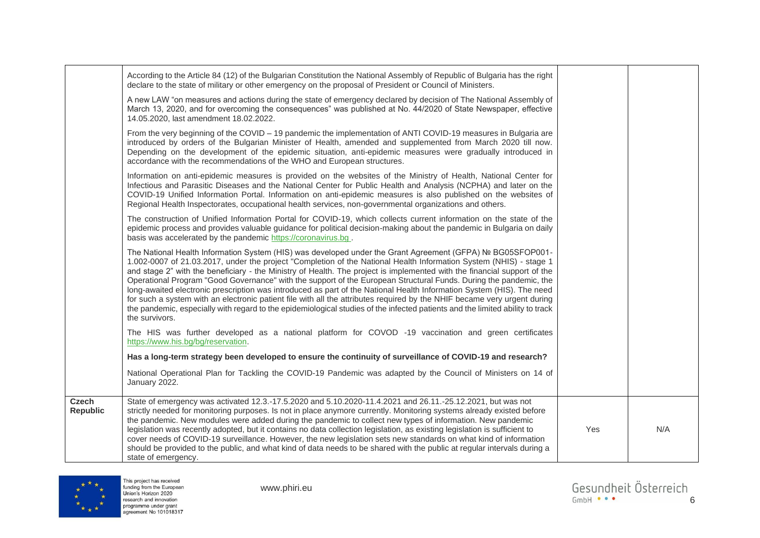|                          | According to the Article 84 (12) of the Bulgarian Constitution the National Assembly of Republic of Bulgaria has the right<br>declare to the state of military or other emergency on the proposal of President or Council of Ministers.                                                                                                                                                                                                                                                                                                                                                                                                                                                                                                                                                                                                                                                    |     |     |
|--------------------------|--------------------------------------------------------------------------------------------------------------------------------------------------------------------------------------------------------------------------------------------------------------------------------------------------------------------------------------------------------------------------------------------------------------------------------------------------------------------------------------------------------------------------------------------------------------------------------------------------------------------------------------------------------------------------------------------------------------------------------------------------------------------------------------------------------------------------------------------------------------------------------------------|-----|-----|
|                          | A new LAW "on measures and actions during the state of emergency declared by decision of The National Assembly of<br>March 13, 2020, and for overcoming the consequences" was published at No. 44/2020 of State Newspaper, effective<br>14.05.2020, last amendment 18.02.2022.                                                                                                                                                                                                                                                                                                                                                                                                                                                                                                                                                                                                             |     |     |
|                          | From the very beginning of the COVID - 19 pandemic the implementation of ANTI COVID-19 measures in Bulgaria are<br>introduced by orders of the Bulgarian Minister of Health, amended and supplemented from March 2020 till now.<br>Depending on the development of the epidemic situation, anti-epidemic measures were gradually introduced in<br>accordance with the recommendations of the WHO and European structures.                                                                                                                                                                                                                                                                                                                                                                                                                                                                  |     |     |
|                          | Information on anti-epidemic measures is provided on the websites of the Ministry of Health, National Center for<br>Infectious and Parasitic Diseases and the National Center for Public Health and Analysis (NCPHA) and later on the<br>COVID-19 Unified Information Portal. Information on anti-epidemic measures is also published on the websites of<br>Regional Health Inspectorates, occupational health services, non-governmental organizations and others.                                                                                                                                                                                                                                                                                                                                                                                                                        |     |     |
|                          | The construction of Unified Information Portal for COVID-19, which collects current information on the state of the<br>epidemic process and provides valuable guidance for political decision-making about the pandemic in Bulgaria on daily<br>basis was accelerated by the pandemic https://coronavirus.bg.                                                                                                                                                                                                                                                                                                                                                                                                                                                                                                                                                                              |     |     |
|                          | The National Health Information System (HIS) was developed under the Grant Agreement (GFPA) Nº BG05SFOP001-<br>1.002-0007 of 21.03.2017, under the project "Completion of the National Health Information System (NHIS) - stage 1<br>and stage 2" with the beneficiary - the Ministry of Health. The project is implemented with the financial support of the<br>Operational Program "Good Governance" with the support of the European Structural Funds. During the pandemic, the<br>long-awaited electronic prescription was introduced as part of the National Health Information System (HIS). The need<br>for such a system with an electronic patient file with all the attributes required by the NHIF became very urgent during<br>the pandemic, especially with regard to the epidemiological studies of the infected patients and the limited ability to track<br>the survivors. |     |     |
|                          | The HIS was further developed as a national platform for COVOD -19 vaccination and green certificates<br>https://www.his.bg/bg/reservation.                                                                                                                                                                                                                                                                                                                                                                                                                                                                                                                                                                                                                                                                                                                                                |     |     |
|                          | Has a long-term strategy been developed to ensure the continuity of surveillance of COVID-19 and research?                                                                                                                                                                                                                                                                                                                                                                                                                                                                                                                                                                                                                                                                                                                                                                                 |     |     |
|                          | National Operational Plan for Tackling the COVID-19 Pandemic was adapted by the Council of Ministers on 14 of<br>January 2022.                                                                                                                                                                                                                                                                                                                                                                                                                                                                                                                                                                                                                                                                                                                                                             |     |     |
| <b>Czech</b><br>Republic | State of emergency was activated 12.3.-17.5.2020 and 5.10.2020-11.4.2021 and 26.11.-25.12.2021, but was not<br>strictly needed for monitoring purposes. Is not in place anymore currently. Monitoring systems already existed before<br>the pandemic. New modules were added during the pandemic to collect new types of information. New pandemic<br>legislation was recently adopted, but it contains no data collection legislation, as existing legislation is sufficient to<br>cover needs of COVID-19 surveillance. However, the new legislation sets new standards on what kind of information<br>should be provided to the public, and what kind of data needs to be shared with the public at regular intervals during a<br>state of emergency.                                                                                                                                   | Yes | N/A |

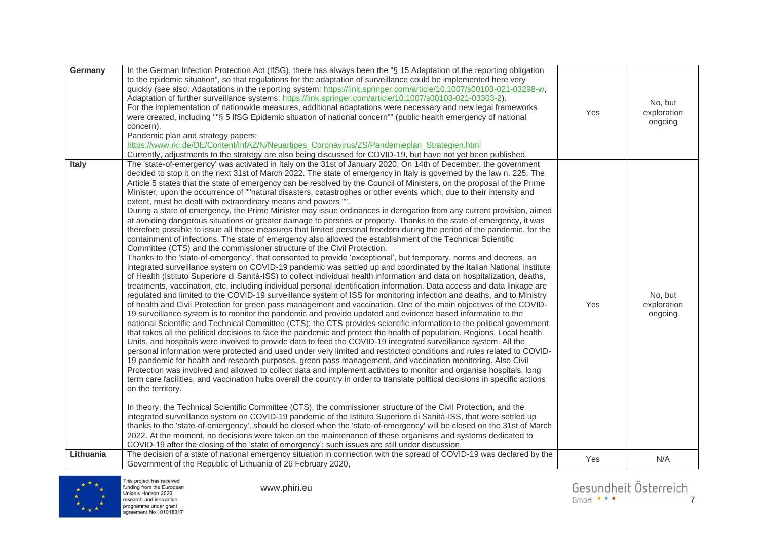| In the German Infection Protection Act (IfSG), there has always been the "§ 15 Adaptation of the reporting obligation<br>Germany<br>to the epidemic situation", so that regulations for the adaptation of surveillance could be implemented here very<br>quickly (see also: Adaptations in the reporting system: https://link.springer.com/article/10.1007/s00103-021-03298-w,<br>Adaptation of further surveillance systems: https://link.springer.com/article/10.1007/s00103-021-03303-2).<br>For the implementation of nationwide measures, additional adaptations were necessary and new legal frameworks<br>were created, including ""§ 5 IfSG Epidemic situation of national concern"" (public health emergency of national<br>concern).<br>Pandemic plan and strategy papers:<br>https://www.rki.de/DE/Content/InfAZ/N/Neuartiges_Coronavirus/ZS/Pandemieplan_Strategien.html<br>Currently, adjustments to the strategy are also being discussed for COVID-19, but have not yet been published.                                                                                                                                                                                                                                                                                                                                                                                                                                                                                                                                                                                                                                                                                                                                                                                                                                                                                                                                                                                                                                                                                                                                                                                                                                                                                                                                                                                                                                                                                                                                                                                                                                                                                                                                                                                                                                                                                                                                                                                                                                                                                                                                                                                                                                                                                                                                                                                                                                                                                                   | Yes | No, but<br>exploration<br>ongoing |
|----------------------------------------------------------------------------------------------------------------------------------------------------------------------------------------------------------------------------------------------------------------------------------------------------------------------------------------------------------------------------------------------------------------------------------------------------------------------------------------------------------------------------------------------------------------------------------------------------------------------------------------------------------------------------------------------------------------------------------------------------------------------------------------------------------------------------------------------------------------------------------------------------------------------------------------------------------------------------------------------------------------------------------------------------------------------------------------------------------------------------------------------------------------------------------------------------------------------------------------------------------------------------------------------------------------------------------------------------------------------------------------------------------------------------------------------------------------------------------------------------------------------------------------------------------------------------------------------------------------------------------------------------------------------------------------------------------------------------------------------------------------------------------------------------------------------------------------------------------------------------------------------------------------------------------------------------------------------------------------------------------------------------------------------------------------------------------------------------------------------------------------------------------------------------------------------------------------------------------------------------------------------------------------------------------------------------------------------------------------------------------------------------------------------------------------------------------------------------------------------------------------------------------------------------------------------------------------------------------------------------------------------------------------------------------------------------------------------------------------------------------------------------------------------------------------------------------------------------------------------------------------------------------------------------------------------------------------------------------------------------------------------------------------------------------------------------------------------------------------------------------------------------------------------------------------------------------------------------------------------------------------------------------------------------------------------------------------------------------------------------------------------------------------------------------------------------------------------------------------------------------|-----|-----------------------------------|
| The 'state-of-emergency' was activated in Italy on the 31st of January 2020. On 14th of December, the government<br><b>Italy</b><br>decided to stop it on the next 31st of March 2022. The state of emergency in Italy is governed by the law n. 225. The<br>Article 5 states that the state of emergency can be resolved by the Council of Ministers, on the proposal of the Prime<br>Minister, upon the occurrence of ""natural disasters, catastrophes or other events which, due to their intensity and<br>extent, must be dealt with extraordinary means and powers "".<br>During a state of emergency, the Prime Minister may issue ordinances in derogation from any current provision, aimed<br>at avoiding dangerous situations or greater damage to persons or property. Thanks to the state of emergency, it was<br>therefore possible to issue all those measures that limited personal freedom during the period of the pandemic, for the<br>containment of infections. The state of emergency also allowed the establishment of the Technical Scientific<br>Committee (CTS) and the commissioner structure of the Civil Protection.<br>Thanks to the 'state-of-emergency', that consented to provide 'exceptional', but temporary, norms and decrees, an<br>integrated surveillance system on COVID-19 pandemic was settled up and coordinated by the Italian National Institute<br>of Health (Istituto Superiore di Sanità-ISS) to collect individual health information and data on hospitalization, deaths,<br>treatments, vaccination, etc. including individual personal identification information. Data access and data linkage are<br>regulated and limited to the COVID-19 surveillance system of ISS for monitoring infection and deaths, and to Ministry<br>of health and Civil Protection for green pass management and vaccination. One of the main objectives of the COVID-<br>19 surveillance system is to monitor the pandemic and provide updated and evidence based information to the<br>national Scientific and Technical Committee (CTS); the CTS provides scientific information to the political government<br>that takes all the political decisions to face the pandemic and protect the health of population. Regions, Local health<br>Units, and hospitals were involved to provide data to feed the COVID-19 integrated surveillance system. All the<br>personal information were protected and used under very limited and restricted conditions and rules related to COVID-<br>19 pandemic for health and research purposes, green pass management, and vaccination monitoring. Also Civil<br>Protection was involved and allowed to collect data and implement activities to monitor and organise hospitals, long<br>term care facilities, and vaccination hubs overall the country in order to translate political decisions in specific actions<br>on the territory.<br>In theory, the Technical Scientific Committee (CTS), the commissioner structure of the Civil Protection, and the<br>integrated surveillance system on COVID-19 pandemic of the Istituto Superiore di Sanità-ISS, that were settled up<br>thanks to the 'state-of-emergency', should be closed when the 'state-of-emergency' will be closed on the 31st of March<br>2022. At the moment, no decisions were taken on the maintenance of these organisms and systems dedicated to<br>COVID-19 after the closing of the 'state of emergency'; such issues are still under discussion. | Yes | No, but<br>exploration<br>ongoing |
| The decision of a state of national emergency situation in connection with the spread of COVID-19 was declared by the<br>Lithuania<br>Government of the Republic of Lithuania of 26 February 2020,                                                                                                                                                                                                                                                                                                                                                                                                                                                                                                                                                                                                                                                                                                                                                                                                                                                                                                                                                                                                                                                                                                                                                                                                                                                                                                                                                                                                                                                                                                                                                                                                                                                                                                                                                                                                                                                                                                                                                                                                                                                                                                                                                                                                                                                                                                                                                                                                                                                                                                                                                                                                                                                                                                                                                                                                                                                                                                                                                                                                                                                                                                                                                                                                                                                                                                       | Yes | N/A                               |



www.phiri.eu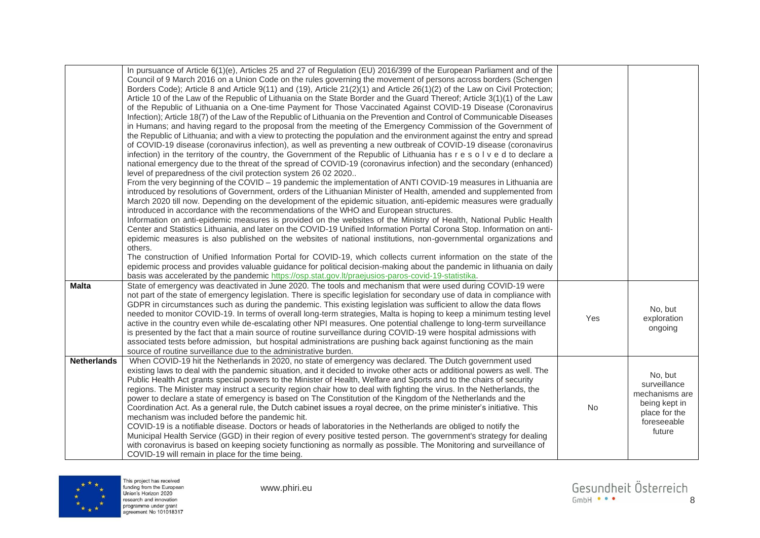| <b>Malta</b>       | In pursuance of Article 6(1)(e), Articles 25 and 27 of Regulation (EU) 2016/399 of the European Parliament and of the<br>Council of 9 March 2016 on a Union Code on the rules governing the movement of persons across borders (Schengen<br>Borders Code); Article 8 and Article 9(11) and (19), Article 21(2)(1) and Article 26(1)(2) of the Law on Civil Protection;<br>Article 10 of the Law of the Republic of Lithuania on the State Border and the Guard Thereof; Article 3(1)(1) of the Law<br>of the Republic of Lithuania on a One-time Payment for Those Vaccinated Against COVID-19 Disease (Coronavirus<br>Infection); Article 18(7) of the Law of the Republic of Lithuania on the Prevention and Control of Communicable Diseases<br>in Humans; and having regard to the proposal from the meeting of the Emergency Commission of the Government of<br>the Republic of Lithuania; and with a view to protecting the population and the environment against the entry and spread<br>of COVID-19 disease (coronavirus infection), as well as preventing a new outbreak of COVID-19 disease (coronavirus<br>infection) in the territory of the country, the Government of the Republic of Lithuania has r e s o I v e d to declare a<br>national emergency due to the threat of the spread of COVID-19 (coronavirus infection) and the secondary (enhanced)<br>level of preparedness of the civil protection system 26 02 2020<br>From the very beginning of the COVID - 19 pandemic the implementation of ANTI COVID-19 measures in Lithuania are<br>introduced by resolutions of Government, orders of the Lithuanian Minister of Health, amended and supplemented from<br>March 2020 till now. Depending on the development of the epidemic situation, anti-epidemic measures were gradually<br>introduced in accordance with the recommendations of the WHO and European structures.<br>Information on anti-epidemic measures is provided on the websites of the Ministry of Health, National Public Health<br>Center and Statistics Lithuania, and later on the COVID-19 Unified Information Portal Corona Stop. Information on anti-<br>epidemic measures is also published on the websites of national institutions, non-governmental organizations and<br>others.<br>The construction of Unified Information Portal for COVID-19, which collects current information on the state of the<br>epidemic process and provides valuable guidance for political decision-making about the pandemic in lithuania on daily<br>basis was accelerated by the pandemic https://osp.stat.gov.lt/praejusios-paros-covid-19-statistika.<br>State of emergency was deactivated in June 2020. The tools and mechanism that were used during COVID-19 were<br>not part of the state of emergency legislation. There is specific legislation for secondary use of data in compliance with |     |                                                                           |
|--------------------|--------------------------------------------------------------------------------------------------------------------------------------------------------------------------------------------------------------------------------------------------------------------------------------------------------------------------------------------------------------------------------------------------------------------------------------------------------------------------------------------------------------------------------------------------------------------------------------------------------------------------------------------------------------------------------------------------------------------------------------------------------------------------------------------------------------------------------------------------------------------------------------------------------------------------------------------------------------------------------------------------------------------------------------------------------------------------------------------------------------------------------------------------------------------------------------------------------------------------------------------------------------------------------------------------------------------------------------------------------------------------------------------------------------------------------------------------------------------------------------------------------------------------------------------------------------------------------------------------------------------------------------------------------------------------------------------------------------------------------------------------------------------------------------------------------------------------------------------------------------------------------------------------------------------------------------------------------------------------------------------------------------------------------------------------------------------------------------------------------------------------------------------------------------------------------------------------------------------------------------------------------------------------------------------------------------------------------------------------------------------------------------------------------------------------------------------------------------------------------------------------------------------------------------------------------------------------------------------------------------------------------------------------------------------------------------------------------------------------------------------------------------------------------------------------------------------------------------------------------------------------------------------|-----|---------------------------------------------------------------------------|
|                    | GDPR in circumstances such as during the pandemic. This existing legislation was sufficient to allow the data flows<br>needed to monitor COVID-19. In terms of overall long-term strategies, Malta is hoping to keep a minimum testing level<br>active in the country even while de-escalating other NPI measures. One potential challenge to long-term surveillance<br>is presented by the fact that a main source of routine surveillance during COVID-19 were hospital admissions with<br>associated tests before admission, but hospital administrations are pushing back against functioning as the main<br>source of routine surveillance due to the administrative burden.                                                                                                                                                                                                                                                                                                                                                                                                                                                                                                                                                                                                                                                                                                                                                                                                                                                                                                                                                                                                                                                                                                                                                                                                                                                                                                                                                                                                                                                                                                                                                                                                                                                                                                                                                                                                                                                                                                                                                                                                                                                                                                                                                                                                          | Yes | No, but<br>exploration<br>ongoing                                         |
| <b>Netherlands</b> | When COVID-19 hit the Netherlands in 2020, no state of emergency was declared. The Dutch government used<br>existing laws to deal with the pandemic situation, and it decided to invoke other acts or additional powers as well. The<br>Public Health Act grants special powers to the Minister of Health, Welfare and Sports and to the chairs of security                                                                                                                                                                                                                                                                                                                                                                                                                                                                                                                                                                                                                                                                                                                                                                                                                                                                                                                                                                                                                                                                                                                                                                                                                                                                                                                                                                                                                                                                                                                                                                                                                                                                                                                                                                                                                                                                                                                                                                                                                                                                                                                                                                                                                                                                                                                                                                                                                                                                                                                                |     | No, but<br>surveillance                                                   |
|                    | regions. The Minister may instruct a security region chair how to deal with fighting the virus. In the Netherlands, the<br>power to declare a state of emergency is based on The Constitution of the Kingdom of the Netherlands and the<br>Coordination Act. As a general rule, the Dutch cabinet issues a royal decree, on the prime minister's initiative. This<br>mechanism was included before the pandemic hit.<br>COVID-19 is a notifiable disease. Doctors or heads of laboratories in the Netherlands are obliged to notify the<br>Municipal Health Service (GGD) in their region of every positive tested person. The government's strategy for dealing<br>with coronavirus is based on keeping society functioning as normally as possible. The Monitoring and surveillance of<br>COVID-19 will remain in place for the time being.                                                                                                                                                                                                                                                                                                                                                                                                                                                                                                                                                                                                                                                                                                                                                                                                                                                                                                                                                                                                                                                                                                                                                                                                                                                                                                                                                                                                                                                                                                                                                                                                                                                                                                                                                                                                                                                                                                                                                                                                                                              | No  | mechanisms are<br>being kept in<br>place for the<br>foreseeable<br>future |

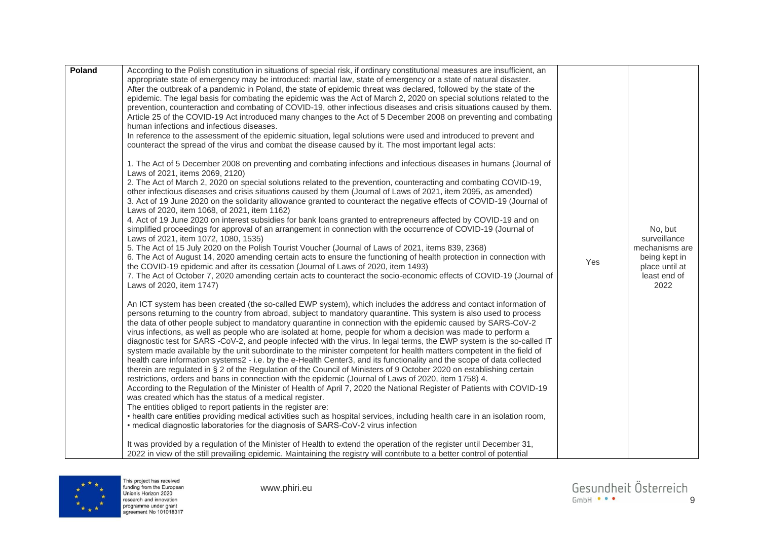| Poland | According to the Polish constitution in situations of special risk, if ordinary constitutional measures are insufficient, an<br>appropriate state of emergency may be introduced: martial law, state of emergency or a state of natural disaster.<br>After the outbreak of a pandemic in Poland, the state of epidemic threat was declared, followed by the state of the<br>epidemic. The legal basis for combating the epidemic was the Act of March 2, 2020 on special solutions related to the<br>prevention, counteraction and combating of COVID-19, other infectious diseases and crisis situations caused by them.<br>Article 25 of the COVID-19 Act introduced many changes to the Act of 5 December 2008 on preventing and combating<br>human infections and infectious diseases.<br>In reference to the assessment of the epidemic situation, legal solutions were used and introduced to prevent and<br>counteract the spread of the virus and combat the disease caused by it. The most important legal acts:<br>1. The Act of 5 December 2008 on preventing and combating infections and infectious diseases in humans (Journal of<br>Laws of 2021, items 2069, 2120)<br>2. The Act of March 2, 2020 on special solutions related to the prevention, counteracting and combating COVID-19,<br>other infectious diseases and crisis situations caused by them (Journal of Laws of 2021, item 2095, as amended)<br>3. Act of 19 June 2020 on the solidarity allowance granted to counteract the negative effects of COVID-19 (Journal of<br>Laws of 2020, item 1068, of 2021, item 1162)<br>4. Act of 19 June 2020 on interest subsidies for bank loans granted to entrepreneurs affected by COVID-19 and on<br>simplified proceedings for approval of an arrangement in connection with the occurrence of COVID-19 (Journal of<br>Laws of 2021, item 1072, 1080, 1535)<br>5. The Act of 15 July 2020 on the Polish Tourist Voucher (Journal of Laws of 2021, items 839, 2368)<br>6. The Act of August 14, 2020 amending certain acts to ensure the functioning of health protection in connection with<br>the COVID-19 epidemic and after its cessation (Journal of Laws of 2020, item 1493)<br>7. The Act of October 7, 2020 amending certain acts to counteract the socio-economic effects of COVID-19 (Journal of<br>Laws of 2020, item 1747)<br>An ICT system has been created (the so-called EWP system), which includes the address and contact information of<br>persons returning to the country from abroad, subject to mandatory quarantine. This system is also used to process<br>the data of other people subject to mandatory quarantine in connection with the epidemic caused by SARS-CoV-2<br>virus infections, as well as people who are isolated at home, people for whom a decision was made to perform a<br>diagnostic test for SARS -CoV-2, and people infected with the virus. In legal terms, the EWP system is the so-called IT<br>system made available by the unit subordinate to the minister competent for health matters competent in the field of<br>health care information systems2 - i.e. by the e-Health Center3, and its functionality and the scope of data collected<br>therein are regulated in § 2 of the Regulation of the Council of Ministers of 9 October 2020 on establishing certain<br>restrictions, orders and bans in connection with the epidemic (Journal of Laws of 2020, item 1758) 4.<br>According to the Regulation of the Minister of Health of April 7, 2020 the National Register of Patients with COVID-19<br>was created which has the status of a medical register.<br>The entities obliged to report patients in the register are:<br>• health care entities providing medical activities such as hospital services, including health care in an isolation room,<br>• medical diagnostic laboratories for the diagnosis of SARS-CoV-2 virus infection<br>It was provided by a regulation of the Minister of Health to extend the operation of the register until December 31, | Yes | No, but<br>surveillance<br>mechanisms are<br>being kept in<br>place until at<br>least end of<br>2022 |
|--------|---------------------------------------------------------------------------------------------------------------------------------------------------------------------------------------------------------------------------------------------------------------------------------------------------------------------------------------------------------------------------------------------------------------------------------------------------------------------------------------------------------------------------------------------------------------------------------------------------------------------------------------------------------------------------------------------------------------------------------------------------------------------------------------------------------------------------------------------------------------------------------------------------------------------------------------------------------------------------------------------------------------------------------------------------------------------------------------------------------------------------------------------------------------------------------------------------------------------------------------------------------------------------------------------------------------------------------------------------------------------------------------------------------------------------------------------------------------------------------------------------------------------------------------------------------------------------------------------------------------------------------------------------------------------------------------------------------------------------------------------------------------------------------------------------------------------------------------------------------------------------------------------------------------------------------------------------------------------------------------------------------------------------------------------------------------------------------------------------------------------------------------------------------------------------------------------------------------------------------------------------------------------------------------------------------------------------------------------------------------------------------------------------------------------------------------------------------------------------------------------------------------------------------------------------------------------------------------------------------------------------------------------------------------------------------------------------------------------------------------------------------------------------------------------------------------------------------------------------------------------------------------------------------------------------------------------------------------------------------------------------------------------------------------------------------------------------------------------------------------------------------------------------------------------------------------------------------------------------------------------------------------------------------------------------------------------------------------------------------------------------------------------------------------------------------------------------------------------------------------------------------------------------------------------------------------------------------------------------------------------------------------------------------------------------------------------------------------------------------------------------------------------------------------------------------------------------------------------------------------------------------------------------------------------------------------------------------------------------------------------------------------------------------------------------------|-----|------------------------------------------------------------------------------------------------------|
|        | 2022 in view of the still prevailing epidemic. Maintaining the registry will contribute to a better control of potential                                                                                                                                                                                                                                                                                                                                                                                                                                                                                                                                                                                                                                                                                                                                                                                                                                                                                                                                                                                                                                                                                                                                                                                                                                                                                                                                                                                                                                                                                                                                                                                                                                                                                                                                                                                                                                                                                                                                                                                                                                                                                                                                                                                                                                                                                                                                                                                                                                                                                                                                                                                                                                                                                                                                                                                                                                                                                                                                                                                                                                                                                                                                                                                                                                                                                                                                                                                                                                                                                                                                                                                                                                                                                                                                                                                                                                                                                                                                |     |                                                                                                      |

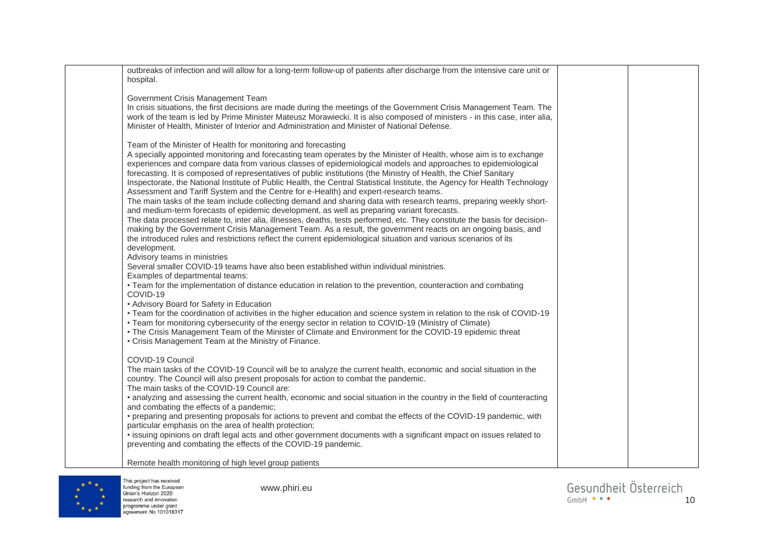| outbreaks of infection and will allow for a long-term follow-up of patients after discharge from the intensive care unit or<br>hospital.                                                                                                                                                                                                                                                                                                                                                                                                                                                                                                        |  |
|-------------------------------------------------------------------------------------------------------------------------------------------------------------------------------------------------------------------------------------------------------------------------------------------------------------------------------------------------------------------------------------------------------------------------------------------------------------------------------------------------------------------------------------------------------------------------------------------------------------------------------------------------|--|
| Government Crisis Management Team<br>In crisis situations, the first decisions are made during the meetings of the Government Crisis Management Team. The<br>work of the team is led by Prime Minister Mateusz Morawiecki. It is also composed of ministers - in this case, inter alia,<br>Minister of Health, Minister of Interior and Administration and Minister of National Defense.                                                                                                                                                                                                                                                        |  |
| Team of the Minister of Health for monitoring and forecasting<br>A specially appointed monitoring and forecasting team operates by the Minister of Health, whose aim is to exchange<br>experiences and compare data from various classes of epidemiological models and approaches to epidemiological<br>forecasting. It is composed of representatives of public institutions (the Ministry of Health, the Chief Sanitary<br>Inspectorate, the National Institute of Public Health, the Central Statistical Institute, the Agency for Health Technology<br>Assessment and Tariff System and the Centre for e-Health) and expert-research teams. |  |
| The main tasks of the team include collecting demand and sharing data with research teams, preparing weekly short-<br>and medium-term forecasts of epidemic development, as well as preparing variant forecasts.<br>The data processed relate to, inter alia, illnesses, deaths, tests performed, etc. They constitute the basis for decision-<br>making by the Government Crisis Management Team. As a result, the government reacts on an ongoing basis, and<br>the introduced rules and restrictions reflect the current epidemiological situation and various scenarios of its                                                              |  |
| development.<br>Advisory teams in ministries<br>Several smaller COVID-19 teams have also been established within individual ministries.<br>Examples of departmental teams:<br>• Team for the implementation of distance education in relation to the prevention, counteraction and combating                                                                                                                                                                                                                                                                                                                                                    |  |
| COVID-19<br>• Advisory Board for Safety in Education<br>• Team for the coordination of activities in the higher education and science system in relation to the risk of COVID-19<br>• Team for monitoring cybersecurity of the energy sector in relation to COVID-19 (Ministry of Climate)<br>• The Crisis Management Team of the Minister of Climate and Environment for the COVID-19 epidemic threat                                                                                                                                                                                                                                          |  |
| • Crisis Management Team at the Ministry of Finance.<br>COVID-19 Council<br>The main tasks of the COVID-19 Council will be to analyze the current health, economic and social situation in the<br>country. The Council will also present proposals for action to combat the pandemic.<br>The main tasks of the COVID-19 Council are:                                                                                                                                                                                                                                                                                                            |  |
| • analyzing and assessing the current health, economic and social situation in the country in the field of counteracting<br>and combating the effects of a pandemic;<br>• preparing and presenting proposals for actions to prevent and combat the effects of the COVID-19 pandemic, with<br>particular emphasis on the area of health protection;<br>. issuing opinions on draft legal acts and other government documents with a significant impact on issues related to                                                                                                                                                                      |  |
| preventing and combating the effects of the COVID-19 pandemic.<br>Remote health monitoring of high level group patients                                                                                                                                                                                                                                                                                                                                                                                                                                                                                                                         |  |

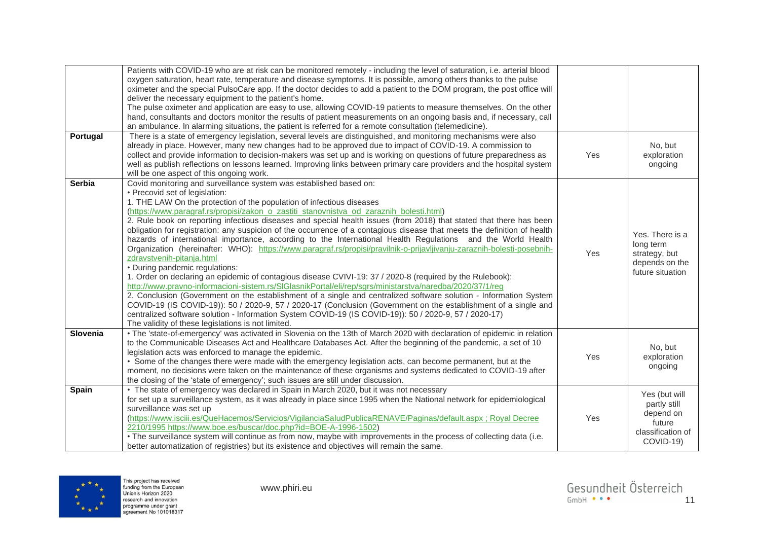|               | Patients with COVID-19 who are at risk can be monitored remotely - including the level of saturation, i.e. arterial blood<br>oxygen saturation, heart rate, temperature and disease symptoms. It is possible, among others thanks to the pulse<br>oximeter and the special PulsoCare app. If the doctor decides to add a patient to the DOM program, the post office will<br>deliver the necessary equipment to the patient's home.<br>The pulse oximeter and application are easy to use, allowing COVID-19 patients to measure themselves. On the other<br>hand, consultants and doctors monitor the results of patient measurements on an ongoing basis and, if necessary, call<br>an ambulance. In alarming situations, the patient is referred for a remote consultation (telemedicine).                                                                                                                                                                                                                                                                                                                                                                                                                                                                                                                                                                                                                                                                        |     |                                                                                        |
|---------------|----------------------------------------------------------------------------------------------------------------------------------------------------------------------------------------------------------------------------------------------------------------------------------------------------------------------------------------------------------------------------------------------------------------------------------------------------------------------------------------------------------------------------------------------------------------------------------------------------------------------------------------------------------------------------------------------------------------------------------------------------------------------------------------------------------------------------------------------------------------------------------------------------------------------------------------------------------------------------------------------------------------------------------------------------------------------------------------------------------------------------------------------------------------------------------------------------------------------------------------------------------------------------------------------------------------------------------------------------------------------------------------------------------------------------------------------------------------------|-----|----------------------------------------------------------------------------------------|
| Portugal      | There is a state of emergency legislation, several levels are distinguished, and monitoring mechanisms were also<br>already in place. However, many new changes had to be approved due to impact of COVID-19. A commission to<br>collect and provide information to decision-makers was set up and is working on questions of future preparedness as<br>well as publish reflections on lessons learned. Improving links between primary care providers and the hospital system<br>will be one aspect of this ongoing work.                                                                                                                                                                                                                                                                                                                                                                                                                                                                                                                                                                                                                                                                                                                                                                                                                                                                                                                                           | Yes | No, but<br>exploration<br>ongoing                                                      |
| <b>Serbia</b> | Covid monitoring and surveillance system was established based on:<br>• Precovid set of legislation:<br>1. THE LAW On the protection of the population of infectious diseases<br>(https://www.paragraf.rs/propisi/zakon_o_zastiti_stanovnistva_od_zaraznih_bolesti.html)<br>2. Rule book on reporting infectious diseases and special health issues (from 2018) that stated that there has been<br>obligation for registration: any suspicion of the occurrence of a contagious disease that meets the definition of health<br>hazards of international importance, according to the International Health Regulations and the World Health<br>Organization (hereinafter: WHO): https://www.paragraf.rs/propisi/pravilnik-o-prijavljivanju-zaraznih-bolesti-posebnih-<br>zdravstvenih-pitanja.html<br>• During pandemic regulations:<br>1. Order on declaring an epidemic of contagious disease CVIVI-19: 37 / 2020-8 (required by the Rulebook):<br>http://www.pravno-informacioni-sistem.rs/SIGlasnikPortal/eli/rep/sgrs/ministarstva/naredba/2020/37/1/reg<br>2. Conclusion (Government on the establishment of a single and centralized software solution - Information System<br>COVID-19 (IS COVID-19)): 50 / 2020-9, 57 / 2020-17 (Conclusion (Government on the establishment of a single and<br>centralized software solution - Information System COVID-19 (IS COVID-19)): 50 / 2020-9, 57 / 2020-17)<br>The validity of these legislations is not limited. | Yes | Yes. There is a<br>long term<br>strategy, but<br>depends on the<br>future situation    |
| Slovenia      | . The 'state-of-emergency' was activated in Slovenia on the 13th of March 2020 with declaration of epidemic in relation<br>to the Communicable Diseases Act and Healthcare Databases Act. After the beginning of the pandemic, a set of 10<br>legislation acts was enforced to manage the epidemic.<br>• Some of the changes there were made with the emergency legislation acts, can become permanent, but at the<br>moment, no decisions were taken on the maintenance of these organisms and systems dedicated to COVID-19 after<br>the closing of the 'state of emergency'; such issues are still under discussion.                                                                                                                                                                                                                                                                                                                                                                                                                                                                                                                                                                                                                                                                                                                                                                                                                                              | Yes | No, but<br>exploration<br>ongoing                                                      |
| <b>Spain</b>  | • The state of emergency was declared in Spain in March 2020, but it was not necessary<br>for set up a surveillance system, as it was already in place since 1995 when the National network for epidemiological<br>surveillance was set up<br>(https://www.isciii.es/QueHacemos/Servicios/VigilanciaSaludPublicaRENAVE/Paginas/default.aspx; Royal Decree<br>2210/1995 https://www.boe.es/buscar/doc.php?id=BOE-A-1996-1502)<br>• The surveillance system will continue as from now, maybe with improvements in the process of collecting data (i.e.<br>better automatization of registries) but its existence and objectives will remain the same.                                                                                                                                                                                                                                                                                                                                                                                                                                                                                                                                                                                                                                                                                                                                                                                                                  | Yes | Yes (but will<br>partly still<br>depend on<br>future<br>classification of<br>COVID-19) |